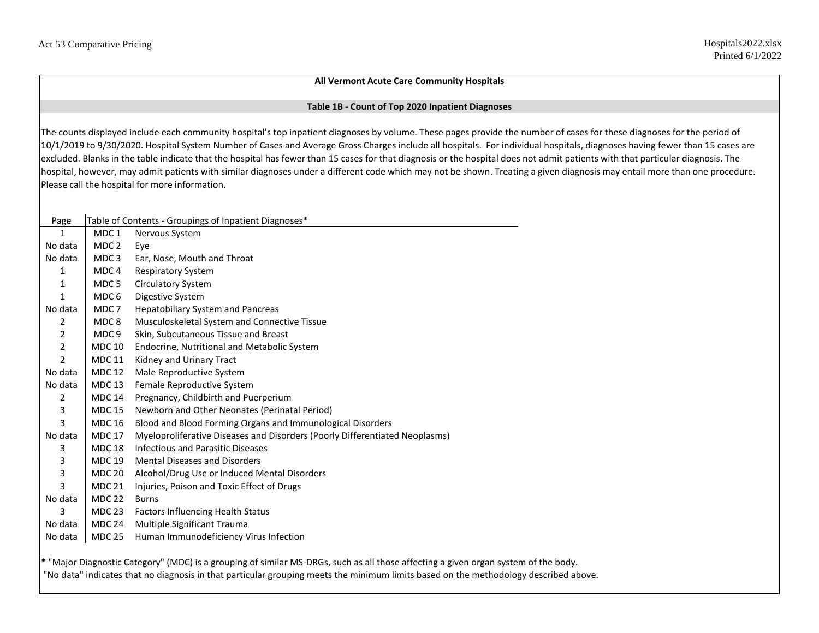## **All Vermont Acute Care Community Hospitals**

## **Table 1B - Count of Top 2020 Inpatient Diagnoses**

The counts displayed include each community hospital's top inpatient diagnoses by volume. These pages provide the number of cases for these diagnoses for the period of 10/1/2019 to 9/30/2020. Hospital System Number of Cases and Average Gross Charges include all hospitals. For individual hospitals, diagnoses having fewer than 15 cases are excluded. Blanks in the table indicate that the hospital has fewer than 15 cases for that diagnosis or the hospital does not admit patients with that particular diagnosis. The hospital, however, may admit patients with similar diagnoses under a different code which may not be shown. Treating a given diagnosis may entail more than one procedure. Please call the hospital for more information.

| Page           |                                                                                                                                     | Table of Contents - Groupings of Inpatient Diagnoses*                       |  |  |  |  |  |  |  |  |  |
|----------------|-------------------------------------------------------------------------------------------------------------------------------------|-----------------------------------------------------------------------------|--|--|--|--|--|--|--|--|--|
| 1              | MDC 1                                                                                                                               | Nervous System                                                              |  |  |  |  |  |  |  |  |  |
| No data        | MDC <sub>2</sub>                                                                                                                    | Eye                                                                         |  |  |  |  |  |  |  |  |  |
| No data        | MDC <sub>3</sub>                                                                                                                    | Ear, Nose, Mouth and Throat                                                 |  |  |  |  |  |  |  |  |  |
| 1              | MDC <sub>4</sub>                                                                                                                    | <b>Respiratory System</b>                                                   |  |  |  |  |  |  |  |  |  |
| 1              | MDC 5                                                                                                                               | <b>Circulatory System</b>                                                   |  |  |  |  |  |  |  |  |  |
| 1              | MDC 6                                                                                                                               | Digestive System                                                            |  |  |  |  |  |  |  |  |  |
| No data        | MDC <sub>7</sub>                                                                                                                    | <b>Hepatobiliary System and Pancreas</b>                                    |  |  |  |  |  |  |  |  |  |
| 2              | MDC <sub>8</sub>                                                                                                                    | Musculoskeletal System and Connective Tissue                                |  |  |  |  |  |  |  |  |  |
| 2              | MDC <sub>9</sub>                                                                                                                    | Skin, Subcutaneous Tissue and Breast                                        |  |  |  |  |  |  |  |  |  |
| $\overline{2}$ | <b>MDC 10</b>                                                                                                                       | Endocrine, Nutritional and Metabolic System                                 |  |  |  |  |  |  |  |  |  |
| $\overline{2}$ | <b>MDC 11</b>                                                                                                                       | Kidney and Urinary Tract                                                    |  |  |  |  |  |  |  |  |  |
| No data        | <b>MDC 12</b>                                                                                                                       | Male Reproductive System                                                    |  |  |  |  |  |  |  |  |  |
| No data        | <b>MDC 13</b>                                                                                                                       | Female Reproductive System                                                  |  |  |  |  |  |  |  |  |  |
| 2              | <b>MDC 14</b>                                                                                                                       | Pregnancy, Childbirth and Puerperium                                        |  |  |  |  |  |  |  |  |  |
| 3              | <b>MDC 15</b>                                                                                                                       | Newborn and Other Neonates (Perinatal Period)                               |  |  |  |  |  |  |  |  |  |
| 3              | <b>MDC 16</b>                                                                                                                       | Blood and Blood Forming Organs and Immunological Disorders                  |  |  |  |  |  |  |  |  |  |
| No data        | <b>MDC 17</b>                                                                                                                       | Myeloproliferative Diseases and Disorders (Poorly Differentiated Neoplasms) |  |  |  |  |  |  |  |  |  |
| 3              | <b>MDC 18</b>                                                                                                                       | <b>Infectious and Parasitic Diseases</b>                                    |  |  |  |  |  |  |  |  |  |
| 3              | <b>MDC 19</b>                                                                                                                       | <b>Mental Diseases and Disorders</b>                                        |  |  |  |  |  |  |  |  |  |
| 3              | <b>MDC 20</b>                                                                                                                       | Alcohol/Drug Use or Induced Mental Disorders                                |  |  |  |  |  |  |  |  |  |
| 3              | <b>MDC 21</b>                                                                                                                       | Injuries, Poison and Toxic Effect of Drugs                                  |  |  |  |  |  |  |  |  |  |
| No data        | <b>MDC 22</b>                                                                                                                       | <b>Burns</b>                                                                |  |  |  |  |  |  |  |  |  |
| 3              | <b>MDC 23</b>                                                                                                                       | <b>Factors Influencing Health Status</b>                                    |  |  |  |  |  |  |  |  |  |
| No data        | <b>MDC 24</b>                                                                                                                       | Multiple Significant Trauma                                                 |  |  |  |  |  |  |  |  |  |
| No data        | <b>MDC 25</b>                                                                                                                       | Human Immunodeficiency Virus Infection                                      |  |  |  |  |  |  |  |  |  |
|                | * "Major Diagnostic Category" (MDC) is a grouping of similar MS-DRGs, such as all those affecting a given organ system of the body. |                                                                             |  |  |  |  |  |  |  |  |  |

"No data" indicates that no diagnosis in that particular grouping meets the minimum limits based on the methodology described above.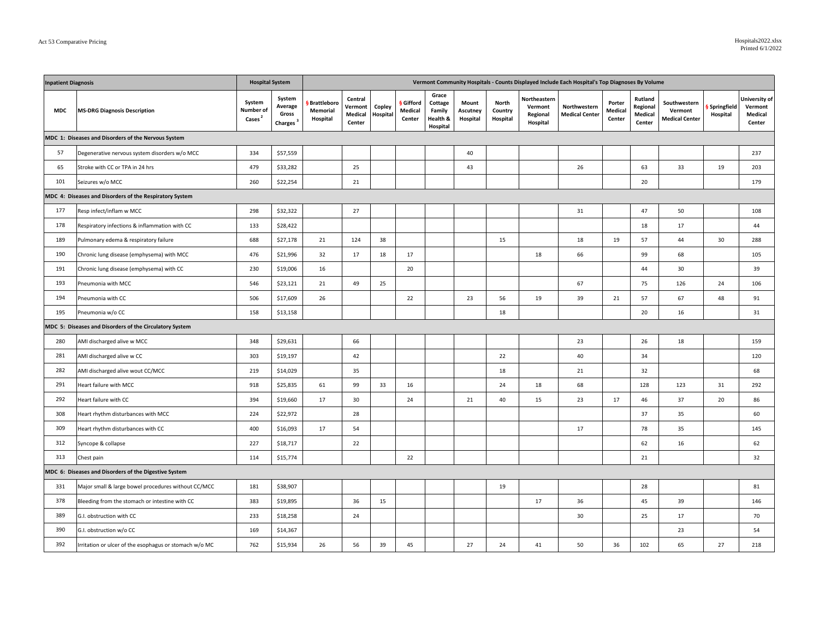| <b>Inpatient Diagnosis</b>                            |                                                         | <b>Hospital System</b><br>Vermont Community Hospitals - Counts Displayed Include Each Hospital's Top Diagnoses By Volume |                                                    |                                       |                                         |                    |                              |                                                    |                               |                              |                                                 |                                       |                             |                                          |                                                  |                         |                                               |
|-------------------------------------------------------|---------------------------------------------------------|--------------------------------------------------------------------------------------------------------------------------|----------------------------------------------------|---------------------------------------|-----------------------------------------|--------------------|------------------------------|----------------------------------------------------|-------------------------------|------------------------------|-------------------------------------------------|---------------------------------------|-----------------------------|------------------------------------------|--------------------------------------------------|-------------------------|-----------------------------------------------|
| <b>MDC</b>                                            | <b>MS-DRG Diagnosis Description</b>                     | System<br>Number of<br>Cases <sup>2</sup>                                                                                | System<br>Average<br>Gross<br>Charges <sup>3</sup> | § Brattleboro<br>Memorial<br>Hospital | Central<br>Vermont<br>Medical<br>Center | Copley<br>Hospital | Gifford<br>Medical<br>Center | Grace<br>Cottage<br>Family<br>Health &<br>Hospital | Mount<br>Ascutney<br>Hospital | North<br>Country<br>Hospital | Northeastern<br>Vermont<br>Regional<br>Hospital | Northwestern<br><b>Medical Center</b> | Porter<br>Medical<br>Center | Rutland<br>Regional<br>Medical<br>Center | Southwestern<br>Vermont<br><b>Medical Center</b> | Springfield<br>Hospital | University of<br>Vermont<br>Medical<br>Center |
|                                                       | MDC 1: Diseases and Disorders of the Nervous System     |                                                                                                                          |                                                    |                                       |                                         |                    |                              |                                                    |                               |                              |                                                 |                                       |                             |                                          |                                                  |                         |                                               |
| 57                                                    | Degenerative nervous system disorders w/o MCC           | 334                                                                                                                      | \$57,559                                           |                                       |                                         |                    |                              |                                                    | 40                            |                              |                                                 |                                       |                             |                                          |                                                  |                         | 237                                           |
| 65                                                    | Stroke with CC or TPA in 24 hrs                         | 479                                                                                                                      | \$33,282                                           |                                       | 25                                      |                    |                              |                                                    | 43                            |                              |                                                 | 26                                    |                             | 63                                       | 33                                               | 19                      | 203                                           |
| 101                                                   | Seizures w/o MCC                                        | 260                                                                                                                      | \$22,254                                           |                                       | 21                                      |                    |                              |                                                    |                               |                              |                                                 |                                       |                             | 20                                       |                                                  |                         | 179                                           |
|                                                       | MDC 4: Diseases and Disorders of the Respiratory System |                                                                                                                          |                                                    |                                       |                                         |                    |                              |                                                    |                               |                              |                                                 |                                       |                             |                                          |                                                  |                         |                                               |
| 177                                                   | Resp infect/inflam w MCC                                | 298                                                                                                                      | \$32,322                                           |                                       | 27                                      |                    |                              |                                                    |                               |                              |                                                 | 31                                    |                             | 47                                       | 50                                               |                         | 108                                           |
| 178                                                   | Respiratory infections & inflammation with CC           | 133                                                                                                                      | \$28,422                                           |                                       |                                         |                    |                              |                                                    |                               |                              |                                                 |                                       |                             | 18                                       | 17                                               |                         | 44                                            |
| 189                                                   | Pulmonary edema & respiratory failure                   | 688                                                                                                                      | \$27,178                                           | 21                                    | 124                                     | 38                 |                              |                                                    |                               | 15                           |                                                 | 18                                    | 19                          | 57                                       | 44                                               | 30                      | 288                                           |
| 190                                                   | Chronic lung disease (emphysema) with MCC               | 476                                                                                                                      | \$21,996                                           | 32                                    | 17                                      | 18                 | 17                           |                                                    |                               |                              | 18                                              | 66                                    |                             | 99                                       | 68                                               |                         | 105                                           |
| 191                                                   | Chronic lung disease (emphysema) with CC                | 230                                                                                                                      | \$19,006                                           | 16                                    |                                         |                    | 20                           |                                                    |                               |                              |                                                 |                                       |                             | 44                                       | 30                                               |                         | 39                                            |
| 193                                                   | Pneumonia with MCC                                      | 546                                                                                                                      | \$23,121                                           | 21                                    | 49                                      | 25                 |                              |                                                    |                               |                              |                                                 | 67                                    |                             | 75                                       | 126                                              | 24                      | 106                                           |
| 194                                                   | Pneumonia with CC                                       | 506                                                                                                                      | \$17,609                                           | 26                                    |                                         |                    | 22                           |                                                    | 23                            | 56                           | 19                                              | 39                                    | 21                          | 57                                       | 67                                               | 48                      | 91                                            |
| 195                                                   | Pneumonia w/o CC                                        | 158                                                                                                                      | \$13,158                                           |                                       |                                         |                    |                              |                                                    |                               | 18                           |                                                 |                                       |                             | 20                                       | 16                                               |                         | 31                                            |
|                                                       | MDC 5: Diseases and Disorders of the Circulatory System |                                                                                                                          |                                                    |                                       |                                         |                    |                              |                                                    |                               |                              |                                                 |                                       |                             |                                          |                                                  |                         |                                               |
| 280                                                   | AMI discharged alive w MCC                              | 348                                                                                                                      | \$29,631                                           |                                       | 66                                      |                    |                              |                                                    |                               |                              |                                                 | 23                                    |                             | 26                                       | 18                                               |                         | 159                                           |
| 281                                                   | AMI discharged alive w CC                               | 303                                                                                                                      | \$19,197                                           |                                       | 42                                      |                    |                              |                                                    |                               | 22                           |                                                 | 40                                    |                             | 34                                       |                                                  |                         | 120                                           |
| 282                                                   | AMI discharged alive wout CC/MCC                        | 219                                                                                                                      | \$14,029                                           |                                       | 35                                      |                    |                              |                                                    |                               | 18                           |                                                 | 21                                    |                             | 32                                       |                                                  |                         | 68                                            |
| 291                                                   | Heart failure with MCC                                  | 918                                                                                                                      | \$25,835                                           | 61                                    | 99                                      | 33                 | 16                           |                                                    |                               | 24                           | 18                                              | 68                                    |                             | 128                                      | 123                                              | 31                      | 292                                           |
| 292                                                   | Heart failure with CC                                   | 394                                                                                                                      | \$19,660                                           | 17                                    | 30                                      |                    | 24                           |                                                    | 21                            | 40                           | 15                                              | 23                                    | 17                          | 46                                       | 37                                               | 20                      | 86                                            |
| 308                                                   | Heart rhythm disturbances with MCC                      | 224                                                                                                                      | \$22,972                                           |                                       | 28                                      |                    |                              |                                                    |                               |                              |                                                 |                                       |                             | 37                                       | 35                                               |                         | 60                                            |
| 309                                                   | Heart rhythm disturbances with CC                       | 400                                                                                                                      | \$16,093                                           | 17                                    | 54                                      |                    |                              |                                                    |                               |                              |                                                 | 17                                    |                             | 78                                       | 35                                               |                         | 145                                           |
| 312                                                   | Syncope & collapse                                      | 227                                                                                                                      | \$18,717                                           |                                       | 22                                      |                    |                              |                                                    |                               |                              |                                                 |                                       |                             | 62                                       | 16                                               |                         | 62                                            |
| 313                                                   | Chest pain                                              | 114                                                                                                                      | \$15,774                                           |                                       |                                         |                    | 22                           |                                                    |                               |                              |                                                 |                                       |                             | 21                                       |                                                  |                         | 32                                            |
| MDC 6: Diseases and Disorders of the Digestive System |                                                         |                                                                                                                          |                                                    |                                       |                                         |                    |                              |                                                    |                               |                              |                                                 |                                       |                             |                                          |                                                  |                         |                                               |
| 331                                                   | Major small & large bowel procedures without CC/MCC     | 181                                                                                                                      | \$38,907                                           |                                       |                                         |                    |                              |                                                    |                               | 19                           |                                                 |                                       |                             | 28                                       |                                                  |                         | 81                                            |
| 378                                                   | Bleeding from the stomach or intestine with CC          | 383                                                                                                                      | \$19,895                                           |                                       | 36                                      | 15                 |                              |                                                    |                               |                              | 17                                              | 36                                    |                             | 45                                       | 39                                               |                         | 146                                           |
| 389                                                   | G.I. obstruction with CC                                | 233                                                                                                                      | \$18,258                                           |                                       | 24                                      |                    |                              |                                                    |                               |                              |                                                 | 30                                    |                             | 25                                       | 17                                               |                         | 70                                            |
| 390                                                   | G.I. obstruction w/o CC                                 | 169                                                                                                                      | \$14,367                                           |                                       |                                         |                    |                              |                                                    |                               |                              |                                                 |                                       |                             |                                          | 23                                               |                         | 54                                            |
| 392                                                   | Irritation or ulcer of the esophagus or stomach w/o MC  | 762                                                                                                                      | \$15,934                                           | 26                                    | 56                                      | 39                 | 45                           |                                                    | 27                            | 24                           | 41                                              | 50                                    | 36                          | 102                                      | 65                                               | 27                      | 218                                           |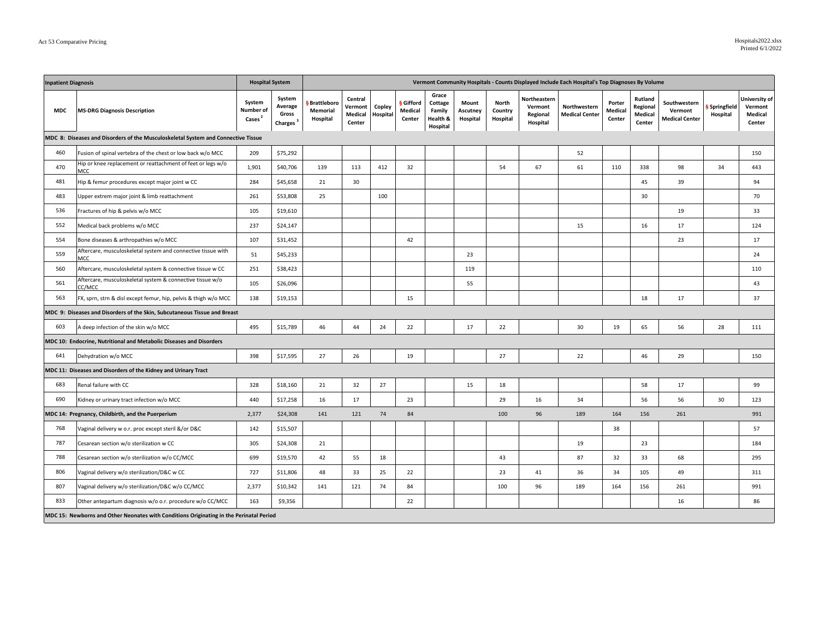| <b>Inpatient Diagnosis</b>                                        |                                                                                         |                                           | <b>Hospital System</b>                             |                                       |                                         |                    |                                       |                                                    |                               |                              |                                                 | Vermont Community Hospitals - Counts Displayed Include Each Hospital's Top Diagnoses By Volume |                             |                                          |                                                  |                         |                                               |
|-------------------------------------------------------------------|-----------------------------------------------------------------------------------------|-------------------------------------------|----------------------------------------------------|---------------------------------------|-----------------------------------------|--------------------|---------------------------------------|----------------------------------------------------|-------------------------------|------------------------------|-------------------------------------------------|------------------------------------------------------------------------------------------------|-----------------------------|------------------------------------------|--------------------------------------------------|-------------------------|-----------------------------------------------|
| <b>MDC</b>                                                        | <b>MS-DRG Diagnosis Description</b>                                                     | System<br>Number of<br>Cases <sup>2</sup> | System<br>Average<br>Gross<br>Charges <sup>3</sup> | § Brattleboro<br>Memorial<br>Hospital | Central<br>Vermont<br>Medical<br>Center | Copley<br>Hospital | <b>§</b> Gifford<br>Medical<br>Center | Grace<br>Cottage<br>Family<br>Health &<br>Hospital | Mount<br>Ascutney<br>Hospital | North<br>Country<br>Hospital | Northeastern<br>Vermont<br>Regional<br>Hospital | Northwestern<br><b>Medical Center</b>                                                          | Porter<br>Medical<br>Center | Rutland<br>Regional<br>Medical<br>Center | Southwestern<br>Vermont<br><b>Medical Center</b> | Springfield<br>Hospital | University of<br>Vermont<br>Medical<br>Center |
|                                                                   | MDC 8: Diseases and Disorders of the Musculoskeletal System and Connective Tissue       |                                           |                                                    |                                       |                                         |                    |                                       |                                                    |                               |                              |                                                 |                                                                                                |                             |                                          |                                                  |                         |                                               |
| 460<br>Fusion of spinal vertebra of the chest or low back w/o MCC |                                                                                         | 209                                       | \$75,292                                           |                                       |                                         |                    |                                       |                                                    |                               |                              |                                                 | 52                                                                                             |                             |                                          |                                                  |                         | 150                                           |
| 470                                                               | Hip or knee replacement or reattachment of feet or legs w/o<br>MCC                      | 1,901                                     | \$40,706                                           | 139                                   | 113                                     | 412                | 32                                    |                                                    |                               | 54                           | 67                                              | 61                                                                                             | 110                         | 338                                      | 98                                               | 34                      | 443                                           |
| 481                                                               | Hip & femur procedures except major joint w CC                                          | 284                                       | \$45,658                                           | 21                                    | 30                                      |                    |                                       |                                                    |                               |                              |                                                 |                                                                                                |                             | 45                                       | 39                                               |                         | 94                                            |
| 483                                                               | Upper extrem major joint & limb reattachment                                            | 261                                       | \$53,808                                           | 25                                    |                                         | 100                |                                       |                                                    |                               |                              |                                                 |                                                                                                |                             | 30                                       |                                                  |                         | 70                                            |
| 536                                                               | Fractures of hip & pelvis w/o MCC                                                       | 105                                       | \$19,610                                           |                                       |                                         |                    |                                       |                                                    |                               |                              |                                                 |                                                                                                |                             |                                          | 19                                               |                         | 33                                            |
| 552                                                               | Medical back problems w/o MCC                                                           | 237                                       | \$24,147                                           |                                       |                                         |                    |                                       |                                                    |                               |                              |                                                 | 15                                                                                             |                             | 16                                       | 17                                               |                         | 124                                           |
| 554                                                               | Bone diseases & arthropathies w/o MCC                                                   | 107                                       | \$31,452                                           |                                       |                                         |                    | 42                                    |                                                    |                               |                              |                                                 |                                                                                                |                             |                                          | 23                                               |                         | 17                                            |
| 559                                                               | Aftercare, musculoskeletal system and connective tissue with<br>MCC                     | 51                                        | \$45,233                                           |                                       |                                         |                    |                                       |                                                    | 23                            |                              |                                                 |                                                                                                |                             |                                          |                                                  |                         | 24                                            |
| 560                                                               | Aftercare, musculoskeletal system & connective tissue w CC                              | 251                                       | \$38,423                                           |                                       |                                         |                    |                                       |                                                    | 119                           |                              |                                                 |                                                                                                |                             |                                          |                                                  |                         | 110                                           |
| 561                                                               | Aftercare, musculoskeletal system & connective tissue w/o<br>CC/MCC                     | 105                                       | \$26,096                                           |                                       |                                         |                    |                                       |                                                    | 55                            |                              |                                                 |                                                                                                |                             |                                          |                                                  |                         | 43                                            |
| 563                                                               | FX, sprn, strn & disl except femur, hip, pelvis & thigh w/o MCC                         | 138                                       | \$19,153                                           |                                       |                                         |                    | 15                                    |                                                    |                               |                              |                                                 |                                                                                                |                             | 18                                       | 17                                               |                         | 37                                            |
|                                                                   | MDC 9: Diseases and Disorders of the Skin, Subcutaneous Tissue and Breast               |                                           |                                                    |                                       |                                         |                    |                                       |                                                    |                               |                              |                                                 |                                                                                                |                             |                                          |                                                  |                         |                                               |
| 603                                                               | A deep infection of the skin w/o MCC                                                    | 495                                       | \$15,789                                           | 46                                    | 44                                      | 24                 | 22                                    |                                                    | 17                            | 22                           |                                                 | 30                                                                                             | 19                          | 65                                       | 56                                               | 28                      | 111                                           |
|                                                                   | MDC 10: Endocrine, Nutritional and Metabolic Diseases and Disorders                     |                                           |                                                    |                                       |                                         |                    |                                       |                                                    |                               |                              |                                                 |                                                                                                |                             |                                          |                                                  |                         |                                               |
| 641                                                               | Dehydration w/o MCC                                                                     | 398                                       | \$17,595                                           | 27                                    | 26                                      |                    | 19                                    |                                                    |                               | 27                           |                                                 | 22                                                                                             |                             | 46                                       | 29                                               |                         | 150                                           |
|                                                                   | MDC 11: Diseases and Disorders of the Kidney and Urinary Tract                          |                                           |                                                    |                                       |                                         |                    |                                       |                                                    |                               |                              |                                                 |                                                                                                |                             |                                          |                                                  |                         |                                               |
| 683                                                               | Renal failure with CC                                                                   | 328                                       | \$18,160                                           | 21                                    | 32                                      | 27                 |                                       |                                                    | 15                            | 18                           |                                                 |                                                                                                |                             | 58                                       | 17                                               |                         | 99                                            |
| 690                                                               | Kidney or urinary tract infection w/o MCC                                               | 440                                       | \$17,258                                           | 16                                    | 17                                      |                    | 23                                    |                                                    |                               | 29                           | 16                                              | 34                                                                                             |                             | 56                                       | 56                                               | 30                      | 123                                           |
|                                                                   | MDC 14: Pregnancy, Childbirth, and the Puerperium                                       | 2,377                                     | \$24,308                                           | 141                                   | 121                                     | 74                 | 84                                    |                                                    |                               | 100                          | 96                                              | 189                                                                                            | 164                         | 156                                      | 261                                              |                         | 991                                           |
| 768                                                               | Vaginal delivery w o.r. proc except steril &/or D&C                                     | 142                                       | \$15,507                                           |                                       |                                         |                    |                                       |                                                    |                               |                              |                                                 |                                                                                                | 38                          |                                          |                                                  |                         | 57                                            |
| 787                                                               | Cesarean section w/o sterilization w CC                                                 | 305                                       | \$24,308                                           | 21                                    |                                         |                    |                                       |                                                    |                               |                              |                                                 | 19                                                                                             |                             | 23                                       |                                                  |                         | 184                                           |
| 788                                                               | Cesarean section w/o sterilization w/o CC/MCC                                           | 699                                       | \$19,570                                           | 42                                    | 55                                      | 18                 |                                       |                                                    |                               | 43                           |                                                 | 87                                                                                             | 32                          | 33                                       | 68                                               |                         | 295                                           |
| 806                                                               | Vaginal delivery w/o sterilization/D&C w CC                                             | 727                                       | \$11,806                                           | 48                                    | 33                                      | 25                 | 22                                    |                                                    |                               | 23                           | 41                                              | 36                                                                                             | 34                          | 105                                      | 49                                               |                         | 311                                           |
| 807                                                               | Vaginal delivery w/o sterilization/D&C w/o CC/MCC                                       | 2,377                                     | \$10,342                                           | 141                                   | 121                                     | 74                 | 84                                    |                                                    |                               | 100                          | 96                                              | 189                                                                                            | 164                         | 156                                      | 261                                              |                         | 991                                           |
| 833                                                               | Other antepartum diagnosis w/o o.r. procedure w/o CC/MCC                                | 163                                       | \$9,356                                            |                                       |                                         |                    | 22                                    |                                                    |                               |                              |                                                 |                                                                                                |                             |                                          | 16                                               |                         | 86                                            |
|                                                                   | MDC 15: Newborns and Other Neonates with Conditions Originating in the Perinatal Period |                                           |                                                    |                                       |                                         |                    |                                       |                                                    |                               |                              |                                                 |                                                                                                |                             |                                          |                                                  |                         |                                               |